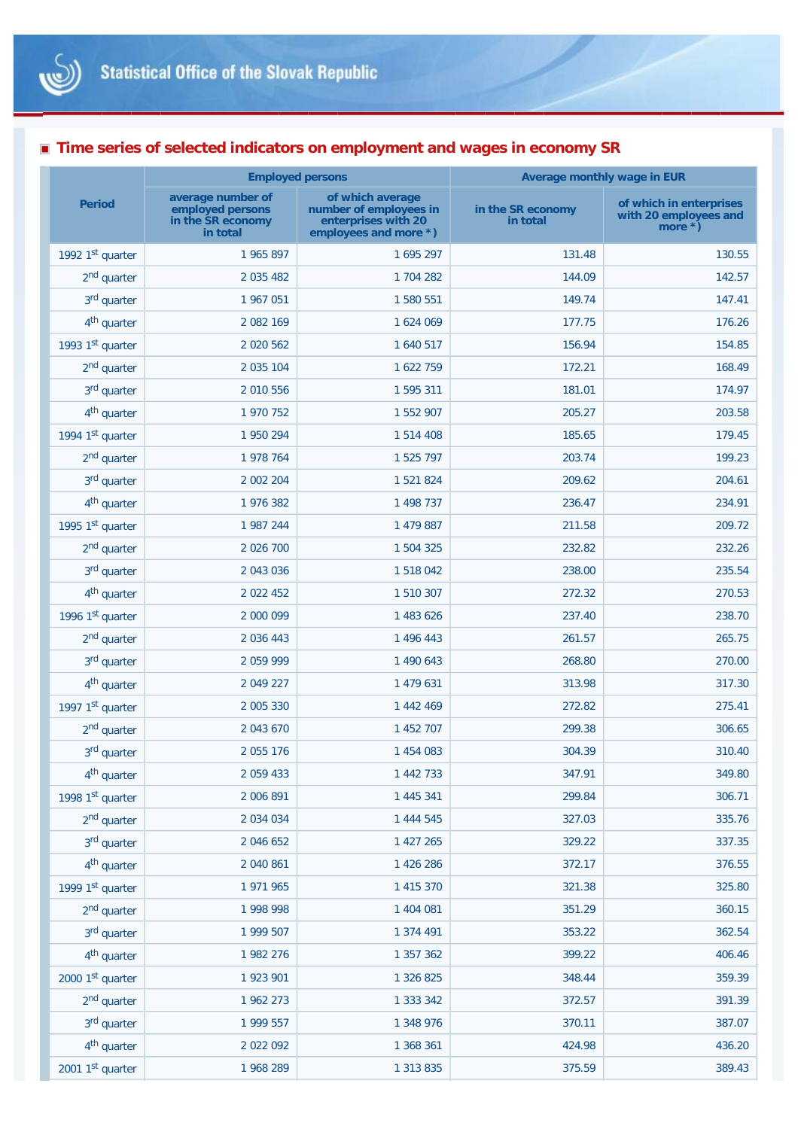

## **Time series of selected indicators on employment and wages in economy SR**

|                         | <b>Employed persons</b>                                                |                                                                                            | <b>Average monthly wage in EUR</b> |                                                                   |
|-------------------------|------------------------------------------------------------------------|--------------------------------------------------------------------------------------------|------------------------------------|-------------------------------------------------------------------|
| <b>Period</b>           | average number of<br>employed persons<br>in the SR economy<br>in total | of which average<br>number of employees in<br>enterprises with 20<br>employees and more *) | in the SR economy<br>in total      | of which in enterprises<br>with 20 employees and<br>more $\ast$ ) |
| 1992 1st quarter        | 1 965 897                                                              | 1 695 297                                                                                  | 131.48                             | 130.55                                                            |
| 2 <sup>nd</sup> quarter | 2 0 3 5 4 8 2                                                          | 1 704 282                                                                                  | 144.09                             | 142.57                                                            |
| 3 <sup>rd</sup> quarter | 1 967 051                                                              | 1 580 551                                                                                  | 149.74                             | 147.41                                                            |
| 4 <sup>th</sup> quarter | 2 082 169                                                              | 1 624 069                                                                                  | 177.75                             | 176.26                                                            |
| 1993 1st quarter        | 2 0 20 5 6 2                                                           | 1 640 517                                                                                  | 156.94                             | 154.85                                                            |
| 2 <sup>nd</sup> quarter | 2 035 104                                                              | 1 622 759                                                                                  | 172.21                             | 168.49                                                            |
| 3rd quarter             | 2 010 556                                                              | 1 595 311                                                                                  | 181.01                             | 174.97                                                            |
| 4 <sup>th</sup> quarter | 1 970 752                                                              | 1 552 907                                                                                  | 205.27                             | 203.58                                                            |
| 1994 1st quarter        | 1 950 294                                                              | 1 514 408                                                                                  | 185.65                             | 179.45                                                            |
| 2 <sup>nd</sup> quarter | 1 978 764                                                              | 1 525 797                                                                                  | 203.74                             | 199.23                                                            |
| 3rd quarter             | 2 002 204                                                              | 1 521 824                                                                                  | 209.62                             | 204.61                                                            |
| 4 <sup>th</sup> quarter | 1 976 382                                                              | 1 498 737                                                                                  | 236.47                             | 234.91                                                            |
| 1995 1st quarter        | 1 987 244                                                              | 1 479 887                                                                                  | 211.58                             | 209.72                                                            |
| 2 <sup>nd</sup> quarter | 2 0 2 6 7 0 0                                                          | 1 504 325                                                                                  | 232.82                             | 232.26                                                            |
| 3 <sup>rd</sup> quarter | 2 043 036                                                              | 1 518 042                                                                                  | 238.00                             | 235.54                                                            |
| 4 <sup>th</sup> quarter | 2 0 2 4 5 2                                                            | 1 510 307                                                                                  | 272.32                             | 270.53                                                            |
| 1996 1st quarter        | 2 000 099                                                              | 1 483 626                                                                                  | 237.40                             | 238.70                                                            |
| 2 <sup>nd</sup> quarter | 2 0 3 6 4 4 3                                                          | 1 496 443                                                                                  | 261.57                             | 265.75                                                            |
| 3 <sup>rd</sup> quarter | 2 059 999                                                              | 1 490 643                                                                                  | 268.80                             | 270.00                                                            |
| 4 <sup>th</sup> quarter | 2 049 227                                                              | 1 479 631                                                                                  | 313.98                             | 317.30                                                            |
| 1997 1st quarter        | 2 005 330                                                              | 1 442 469                                                                                  | 272.82                             | 275.41                                                            |
| 2 <sup>nd</sup> quarter | 2 043 670                                                              | 1 452 707                                                                                  | 299.38                             | 306.65                                                            |
| 3 <sup>rd</sup> quarter | 2 055 176                                                              | 1 454 083                                                                                  | 304.39                             | 310.40                                                            |
| 4 <sup>th</sup> quarter | 2 0 5 9 4 3 3                                                          | 1 442 733                                                                                  | 347.91                             | 349.80                                                            |
| 1998 1st quarter        | 2 006 891                                                              | 1 445 341                                                                                  | 299.84                             | 306.71                                                            |
| 2 <sup>nd</sup> quarter | 2 0 34 0 34                                                            | 1 444 545                                                                                  | 327.03                             | 335.76                                                            |
| 3 <sup>rd</sup> quarter | 2 046 652                                                              | 1 427 265                                                                                  | 329.22                             | 337.35                                                            |
| 4 <sup>th</sup> quarter | 2 040 861                                                              | 1 426 286                                                                                  | 372.17                             | 376.55                                                            |
| 1999 1st quarter        | 1 971 965                                                              | 1 415 370                                                                                  | 321.38                             | 325.80                                                            |
| 2 <sup>nd</sup> quarter | 1 998 998                                                              | 1 404 081                                                                                  | 351.29                             | 360.15                                                            |
| 3 <sup>rd</sup> quarter | 1 999 507                                                              | 1 374 491                                                                                  | 353.22                             | 362.54                                                            |
| 4 <sup>th</sup> quarter | 1 982 276                                                              | 1 357 362                                                                                  | 399.22                             | 406.46                                                            |
| 2000 1st quarter        | 1 923 901                                                              | 1 326 825                                                                                  | 348.44                             | 359.39                                                            |
| 2 <sup>nd</sup> quarter | 1 962 273                                                              | 1 333 342                                                                                  | 372.57                             | 391.39                                                            |
| 3rd quarter             | 1 999 557                                                              | 1 348 976                                                                                  | 370.11                             | 387.07                                                            |
| 4 <sup>th</sup> quarter | 2 022 092                                                              | 1 368 361                                                                                  | 424.98                             | 436.20                                                            |
| 2001 1st quarter        | 1 968 289                                                              | 1 313 835                                                                                  | 375.59                             | 389.43                                                            |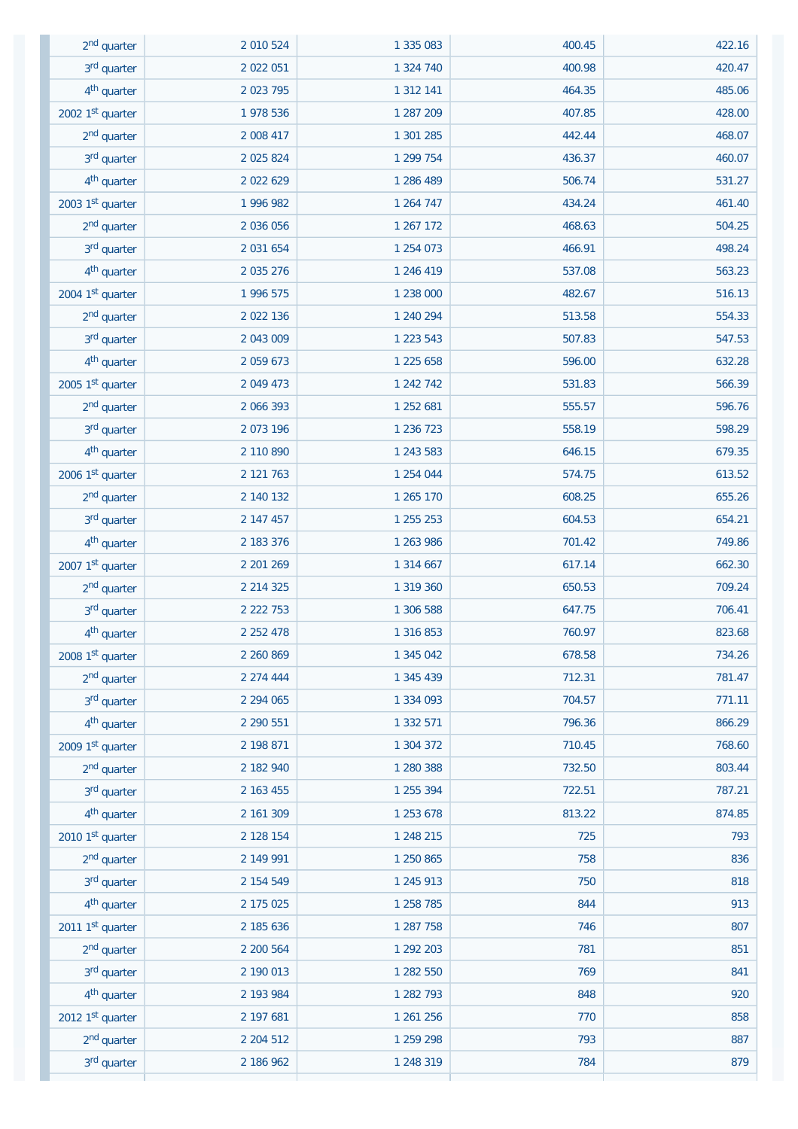| 2 <sup>nd</sup> quarter | 2 010 524     | 1 335 083 | 400.45 | 422.16 |
|-------------------------|---------------|-----------|--------|--------|
| 3rd quarter             | 2 022 051     | 1 324 740 | 400.98 | 420.47 |
| 4 <sup>th</sup> quarter | 2 0 2 3 7 9 5 | 1 312 141 | 464.35 | 485.06 |
| 2002 1st quarter        | 1 978 536     | 1 287 209 | 407.85 | 428.00 |
| 2 <sup>nd</sup> quarter | 2 008 417     | 1 301 285 | 442.44 | 468.07 |
| 3 <sup>rd</sup> quarter | 2 0 2 5 8 2 4 | 1 299 754 | 436.37 | 460.07 |
| 4 <sup>th</sup> quarter | 2 022 629     | 1 286 489 | 506.74 | 531.27 |
| 2003 1st quarter        | 1 996 982     | 1 264 747 | 434.24 | 461.40 |
| $2nd$ quarter           | 2 036 056     | 1 267 172 | 468.63 | 504.25 |
| $3rd$ quarter           | 2 031 654     | 1 254 073 | 466.91 | 498.24 |
| 4 <sup>th</sup> quarter | 2 035 276     | 1 246 419 | 537.08 | 563.23 |
| 2004 1st quarter        | 1 996 575     | 1 238 000 | 482.67 | 516.13 |
| 2 <sup>nd</sup> quarter | 2 022 136     | 1 240 294 | 513.58 | 554.33 |
| 3 <sup>rd</sup> quarter | 2 043 009     | 1 223 543 | 507.83 | 547.53 |
| $4th$ quarter           | 2 0 5 9 6 7 3 | 1 225 658 | 596.00 | 632.28 |
| 2005 1st quarter        | 2 049 473     | 1 242 742 | 531.83 | 566.39 |
| 2 <sup>nd</sup> quarter | 2 066 393     | 1 252 681 | 555.57 | 596.76 |
| 3 <sup>rd</sup> quarter | 2 073 196     | 1 236 723 | 558.19 | 598.29 |
| 4 <sup>th</sup> quarter | 2 110 890     | 1 243 583 | 646.15 | 679.35 |
| 2006 1st quarter        | 2 121 763     | 1 254 044 | 574.75 | 613.52 |
| 2 <sup>nd</sup> quarter | 2 140 132     | 1 265 170 | 608.25 | 655.26 |
| 3rd quarter             | 2 147 457     | 1 255 253 | 604.53 | 654.21 |
| 4 <sup>th</sup> quarter | 2 183 376     | 1 263 986 | 701.42 | 749.86 |
| 2007 1st quarter        | 2 201 269     | 1 314 667 | 617.14 | 662.30 |
| 2 <sup>nd</sup> quarter | 2 2 1 4 3 2 5 | 1 319 360 | 650.53 | 709.24 |
| 3rd quarter             | 2 2 2 7 5 3   | 1 306 588 | 647.75 | 706.41 |
| 4 <sup>th</sup> quarter | 2 2 5 2 4 7 8 | 1 316 853 | 760.97 | 823.68 |
| 2008 1st quarter        | 2 260 869     | 1 345 042 | 678.58 | 734.26 |
| 2 <sup>nd</sup> quarter | 2 274 444     | 1 345 439 | 712.31 | 781.47 |
| 3 <sup>rd</sup> quarter | 2 2 9 4 0 6 5 | 1 334 093 | 704.57 | 771.11 |
| 4 <sup>th</sup> quarter | 2 2 9 5 5 1   | 1 332 571 | 796.36 | 866.29 |
| 2009 1st quarter        | 2 198 871     | 1 304 372 | 710.45 | 768.60 |
| 2 <sup>nd</sup> quarter | 2 182 940     | 1 280 388 | 732.50 | 803.44 |
| 3 <sup>rd</sup> quarter | 2 163 455     | 1 255 394 | 722.51 | 787.21 |
| 4 <sup>th</sup> quarter | 2 161 309     | 1 253 678 | 813.22 | 874.85 |
| 2010 1st quarter        | 2 128 154     | 1 248 215 | 725    | 793    |
| 2 <sup>nd</sup> quarter | 2 149 991     | 1 250 865 | 758    | 836    |
| 3 <sup>rd</sup> quarter | 2 154 549     | 1 245 913 | 750    | 818    |
| 4 <sup>th</sup> quarter | 2 175 025     | 1 258 785 | 844    | 913    |
| 2011 1st quarter        | 2 185 636     | 1 287 758 | 746    | 807    |
| $2nd$ quarter           | 2 200 564     | 1 292 203 | 781    | 851    |
| 3 <sup>rd</sup> quarter | 2 190 013     | 1 282 550 | 769    | 841    |
| 4 <sup>th</sup> quarter | 2 193 984     | 1 282 793 | 848    | 920    |
| 2012 1st quarter        | 2 197 681     | 1 261 256 | 770    | 858    |
| 2 <sup>nd</sup> quarter | 2 204 512     | 1 259 298 | 793    | 887    |
| 3rd quarter             | 2 186 962     | 1 248 319 | 784    | 879    |